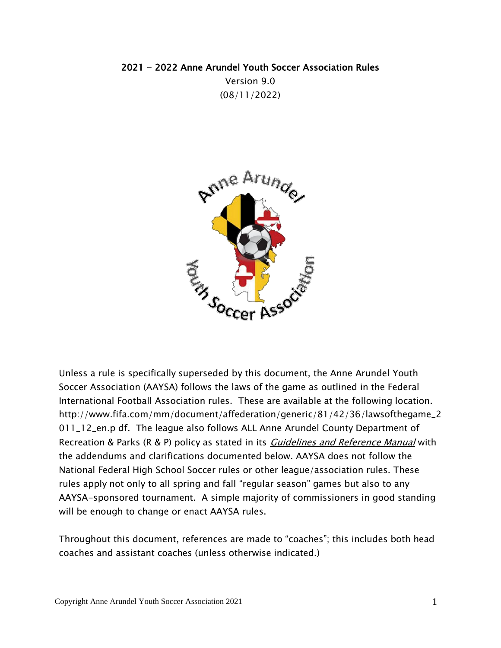# 2021 - 2022 Anne Arundel Youth Soccer Association Rules Version 9.0 (08/11/2022)



Unless a rule is specifically superseded by this document, the Anne Arundel Youth Soccer Association (AAYSA) follows the laws of the game as outlined in the Federal International Football Association rules. These are available at the following location[.](http://www.fifa.com/mm/document/affederation/generic/81/42/36/lawsofthegame_2011_12_en.p) [http://www.fifa.com/mm/document/affederation/generic/81/42/36/lawsofthegame\\_2](http://www.fifa.com/mm/document/affederation/generic/81/42/36/lawsofthegame_2011_12_en.p) [011\\_12\\_en.p](http://www.fifa.com/mm/document/affederation/generic/81/42/36/lawsofthegame_2011_12_en.p) df. The league also follows ALL Anne Arundel County Department of Recreation & Parks (R & P) policy as stated in its *Guidelines [and Reference](http://www.aacounty.org/RecParks/policies/index.cfm) Manual* with the addendums and clarifications documented below. AAYSA does not follow the National Federal High School Soccer rules or other league/association rules. These rules apply not only to all spring and fall "regular season" games but also to any AAYSA-sponsored tournament. A simple majority of commissioners in good standing will be enough to change or enact AAYSA rules.

Throughout this document, references are made to "coaches"; this includes both head coaches and assistant coaches (unless otherwise indicated.)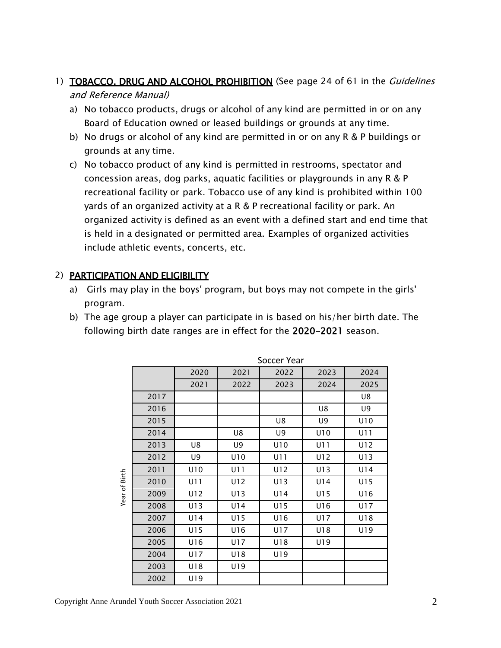- 1) TOBACCO, DRUG AND ALCOHOL PROHIBITION (See page 24 of 61 in the Guidelines and Reference Manual)
	- a) No tobacco products, drugs or alcohol of any kind are permitted in or on any Board of Education owned or leased buildings or grounds at any time.
	- b) No drugs or alcohol of any kind are permitted in or on any R & P buildings or grounds at any time.
	- c) No tobacco product of any kind is permitted in restrooms, spectator and concession areas, dog parks, aquatic facilities or playgrounds in any R & P recreational facility or park. Tobacco use of any kind is prohibited within 100 yards of an organized activity at a R & P recreational facility or park. An organized activity is defined as an event with a defined start and end time that is held in a designated or permitted area. Examples of organized activities include athletic events, concerts, etc.

## 2) PARTICIPATION AND ELIGIBILITY

- a) Girls may play in the boys' program, but boys may not compete in the girls' program.
- b) The age group a player can participate in is based on his/her birth date. The following birth date ranges are in effect for the 2020-2021 season.

|               |      | Soccer Year |      |      |      |      |  |  |  |
|---------------|------|-------------|------|------|------|------|--|--|--|
|               |      | 2020        | 2021 | 2022 | 2023 | 2024 |  |  |  |
| Year of Birth |      | 2021        | 2022 | 2023 | 2024 | 2025 |  |  |  |
|               | 2017 |             |      |      |      | U8   |  |  |  |
|               | 2016 |             |      |      | U8   | U9   |  |  |  |
|               | 2015 |             |      | U8   | U9   | U10  |  |  |  |
|               | 2014 |             | U8   | U9   | U10  | U11  |  |  |  |
|               | 2013 | U8          | U9   | U10  | U11  | U12  |  |  |  |
|               | 2012 | U9          | U10  | U11  | U12  | U13  |  |  |  |
|               | 2011 | U10         | U11  | U12  | U13  | U14  |  |  |  |
|               | 2010 | U11         | U12  | U13  | U14  | U15  |  |  |  |
|               | 2009 | U12         | U13  | U14  | U15  | U16  |  |  |  |
|               | 2008 | U13         | U14  | U15  | U16  | U17  |  |  |  |
|               | 2007 | U14         | U15  | U16  | U17  | U18  |  |  |  |
|               | 2006 | U15         | U16  | U17  | U18  | U19  |  |  |  |
|               | 2005 | U16         | U17  | U18  | U19  |      |  |  |  |
|               | 2004 | U17         | U18  | U19  |      |      |  |  |  |
|               | 2003 | U18         | U19  |      |      |      |  |  |  |
|               | 2002 | U19         |      |      |      |      |  |  |  |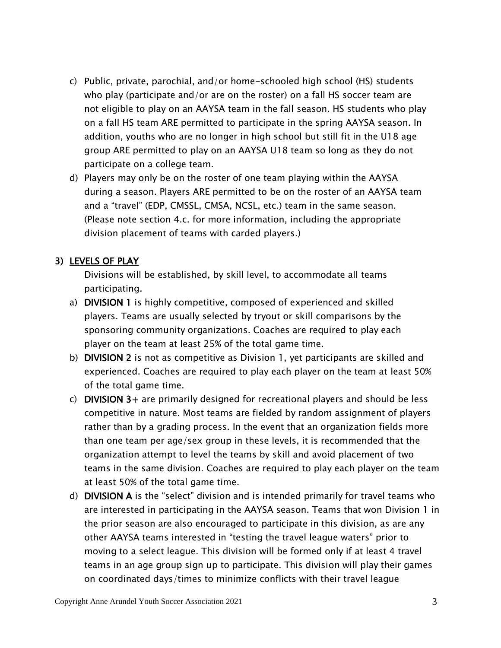- c) Public, private, parochial, and/or home-schooled high school (HS) students who play (participate and/or are on the roster) on a fall HS soccer team are not eligible to play on an AAYSA team in the fall season. HS students who play on a fall HS team ARE permitted to participate in the spring AAYSA season. In addition, youths who are no longer in high school but still fit in the U18 age group ARE permitted to play on an AAYSA U18 team so long as they do not participate on a college team.
- d) Players may only be on the roster of one team playing within the AAYSA during a season. Players ARE permitted to be on the roster of an AAYSA team and a "travel" (EDP, CMSSL, CMSA, NCSL, etc.) team in the same season. (Please note section 4.c. for more information, including the appropriate division placement of teams with carded players.)

### 3) LEVELS OF PLAY

Divisions will be established, by skill level, to accommodate all teams participating.

- a) DIVISION 1 is highly competitive, composed of experienced and skilled players. Teams are usually selected by tryout or skill comparisons by the sponsoring community organizations. Coaches are required to play each player on the team at least 25% of the total game time.
- b) **DIVISION 2** is not as competitive as Division 1, yet participants are skilled and experienced. Coaches are required to play each player on the team at least 50% of the total game time.
- c) DIVISION 3+ are primarily designed for recreational players and should be less competitive in nature. Most teams are fielded by random assignment of players rather than by a grading process. In the event that an organization fields more than one team per age/sex group in these levels, it is recommended that the organization attempt to level the teams by skill and avoid placement of two teams in the same division. Coaches are required to play each player on the team at least 50% of the total game time.
- d) DIVISION A is the "select" division and is intended primarily for travel teams who are interested in participating in the AAYSA season. Teams that won Division 1 in the prior season are also encouraged to participate in this division, as are any other AAYSA teams interested in "testing the travel league waters" prior to moving to a select league. This division will be formed only if at least 4 travel teams in an age group sign up to participate. This division will play their games on coordinated days/times to minimize conflicts with their travel league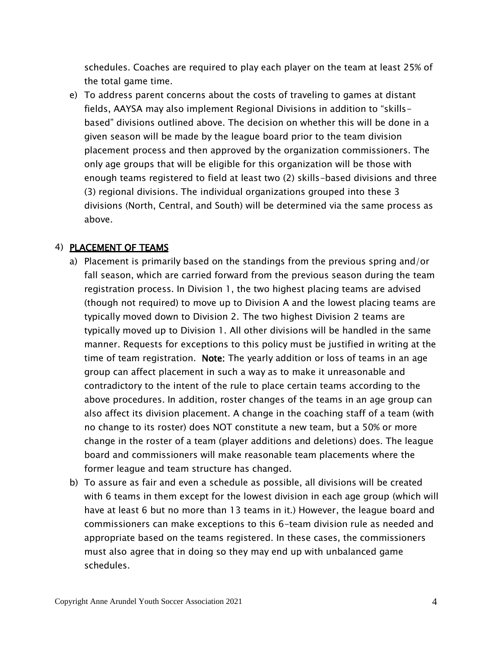schedules. Coaches are required to play each player on the team at least 25% of the total game time.

e) To address parent concerns about the costs of traveling to games at distant fields, AAYSA may also implement Regional Divisions in addition to "skillsbased" divisions outlined above. The decision on whether this will be done in a given season will be made by the league board prior to the team division placement process and then approved by the organization commissioners. The only age groups that will be eligible for this organization will be those with enough teams registered to field at least two (2) skills-based divisions and three (3) regional divisions. The individual organizations grouped into these 3 divisions (North, Central, and South) will be determined via the same process as above.

#### 4) PLACEMENT OF TEAMS

- a) Placement is primarily based on the standings from the previous spring and/or fall season, which are carried forward from the previous season during the team registration process. In Division 1, the two highest placing teams are advised (though not required) to move up to Division A and the lowest placing teams are typically moved down to Division 2. The two highest Division 2 teams are typically moved up to Division 1. All other divisions will be handled in the same manner. Requests for exceptions to this policy must be justified in writing at the time of team registration. **Note:** The yearly addition or loss of teams in an age group can affect placement in such a way as to make it unreasonable and contradictory to the intent of the rule to place certain teams according to the above procedures. In addition, roster changes of the teams in an age group can also affect its division placement. A change in the coaching staff of a team (with no change to its roster) does NOT constitute a new team, but a 50% or more change in the roster of a team (player additions and deletions) does. The league board and commissioners will make reasonable team placements where the former league and team structure has changed.
- b) To assure as fair and even a schedule as possible, all divisions will be created with 6 teams in them except for the lowest division in each age group (which will have at least 6 but no more than 13 teams in it.) However, the league board and commissioners can make exceptions to this 6-team division rule as needed and appropriate based on the teams registered. In these cases, the commissioners must also agree that in doing so they may end up with unbalanced game schedules.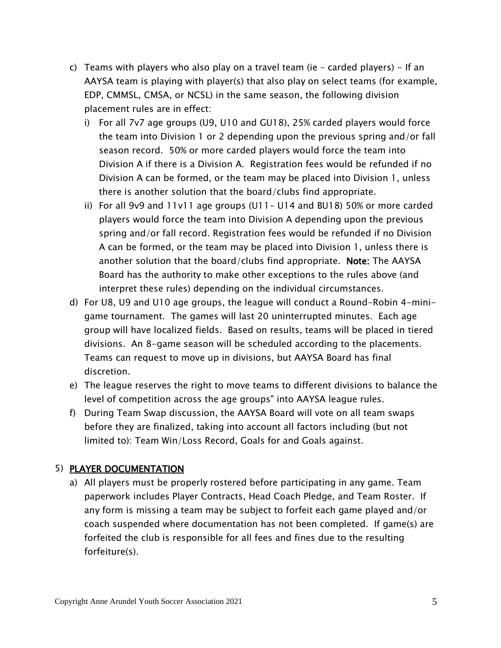- c) Teams with players who also play on a travel team (ie carded players) If an AAYSA team is playing with player(s) that also play on select teams (for example, EDP, CMMSL, CMSA, or NCSL) in the same season, the following division placement rules are in effect:
	- i) For all 7v7 age groups (U9, U10 and GU18), 25% carded players would force the team into Division 1 or 2 depending upon the previous spring and/or fall season record. 50% or more carded players would force the team into Division A if there is a Division A. Registration fees would be refunded if no Division A can be formed, or the team may be placed into Division 1, unless there is another solution that the board/clubs find appropriate.
	- ii) For all 9v9 and 11v11 age groups (U11- U14 and BU18) 50% or more carded players would force the team into Division A depending upon the previous spring and/or fall record. Registration fees would be refunded if no Division A can be formed, or the team may be placed into Division 1, unless there is another solution that the board/clubs find appropriate. Note: The AAYSA Board has the authority to make other exceptions to the rules above (and interpret these rules) depending on the individual circumstances.
- d) For U8, U9 and U10 age groups, the league will conduct a Round-Robin 4-minigame tournament. The games will last 20 uninterrupted minutes. Each age group will have localized fields. Based on results, teams will be placed in tiered divisions. An 8-game season will be scheduled according to the placements. Teams can request to move up in divisions, but AAYSA Board has final discretion.
- e) The league reserves the right to move teams to different divisions to balance the level of competition across the age groups" into AAYSA league rules.
- f) During Team Swap discussion, the AAYSA Board will vote on all team swaps before they are finalized, taking into account all factors including (but not limited to): Team Win/Loss Record, Goals for and Goals against.

## 5) PLAYER DOCUMENTATION

a) All players must be properly rostered before participating in any game. Team paperwork includes Player Contracts, Head Coach Pledge, and Team Roster. If any form is missing a team may be subject to forfeit each game played and/or coach suspended where documentation has not been completed. If game(s) are forfeited the club is responsible for all fees and fines due to the resulting forfeiture(s).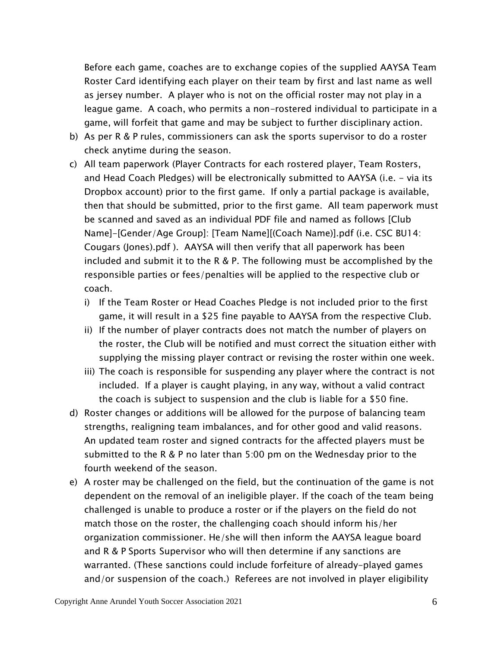Before each game, coaches are to exchange copies of the supplied AAYSA Team Roster Card identifying each player on their team by first and last name as well as jersey number. A player who is not on the official roster may not play in a league game. A coach, who permits a non-rostered individual to participate in a game, will forfeit that game and may be subject to further disciplinary action.

- b) As per R & P rules, commissioners can ask the sports supervisor to do a roster check anytime during the season.
- c) All team paperwork (Player Contracts for each rostered player, Team Rosters, and Head Coach Pledges) will be electronically submitted to AAYSA (i.e. - via its Dropbox account) prior to the first game. If only a partial package is available, then that should be submitted, prior to the first game. All team paperwork must be scanned and saved as an individual PDF file and named as follows [Club Name]-[Gender/Age Group]: [Team Name][(Coach Name)].pdf (i.e. CSC BU14: Cougars (Jones).pdf ). AAYSA will then verify that all paperwork has been included and submit it to the R & P. The following must be accomplished by the responsible parties or fees/penalties will be applied to the respective club or coach.
	- i) If the Team Roster or Head Coaches Pledge is not included prior to the first game, it will result in a \$25 fine payable to AAYSA from the respective Club.
	- ii) If the number of player contracts does not match the number of players on the roster, the Club will be notified and must correct the situation either with supplying the missing player contract or revising the roster within one week.
	- iii) The coach is responsible for suspending any player where the contract is not included. If a player is caught playing, in any way, without a valid contract the coach is subject to suspension and the club is liable for a \$50 fine.
- d) Roster changes or additions will be allowed for the purpose of balancing team strengths, realigning team imbalances, and for other good and valid reasons. An updated team roster and signed contracts for the affected players must be submitted to the R & P no later than 5:00 pm on the Wednesday prior to the fourth weekend of the season.
- e) A roster may be challenged on the field, but the continuation of the game is not dependent on the removal of an ineligible player. If the coach of the team being challenged is unable to produce a roster or if the players on the field do not match those on the roster, the challenging coach should inform his/her organization commissioner. He/she will then inform the AAYSA league board and R & P Sports Supervisor who will then determine if any sanctions are warranted. (These sanctions could include forfeiture of already-played games and/or suspension of the coach.) Referees are not involved in player eligibility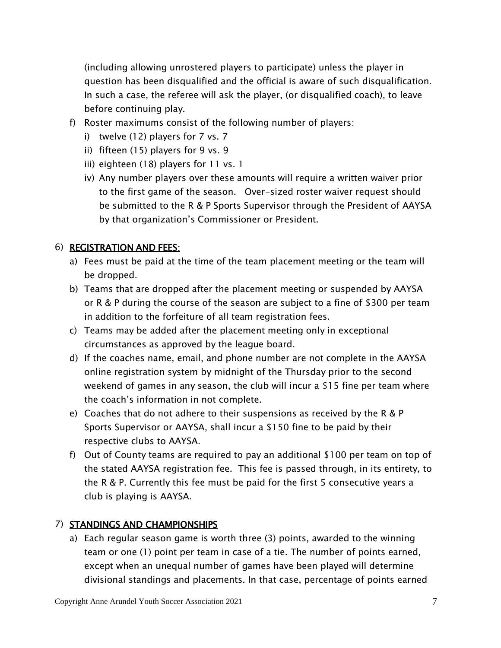(including allowing unrostered players to participate) unless the player in question has been disqualified and the official is aware of such disqualification. In such a case, the referee will ask the player, (or disqualified coach), to leave before continuing play.

- f) Roster maximums consist of the following number of players:
	- i) twelve (12) players for 7 vs. 7
	- ii) fifteen (15) players for 9 vs. 9
	- iii) eighteen (18) players for 11 vs. 1
	- iv) Any number players over these amounts will require a written waiver prior to the first game of the season. Over-sized roster waiver request should be submitted to the R & P Sports Supervisor through the President of AAYSA by that organization's Commissioner or President.

#### 6) REGISTRATION AND FEES:

- a) Fees must be paid at the time of the team placement meeting or the team will be dropped.
- b) Teams that are dropped after the placement meeting or suspended by AAYSA or R & P during the course of the season are subject to a fine of \$300 per team in addition to the forfeiture of all team registration fees.
- c) Teams may be added after the placement meeting only in exceptional circumstances as approved by the league board.
- d) If the coaches name, email, and phone number are not complete in the AAYSA online registration system by midnight of the Thursday prior to the second weekend of games in any season, the club will incur a \$15 fine per team where the coach's information in not complete.
- e) Coaches that do not adhere to their suspensions as received by the R & P Sports Supervisor or AAYSA, shall incur a \$150 fine to be paid by their respective clubs to AAYSA.
- f) Out of County teams are required to pay an additional \$100 per team on top of the stated AAYSA registration fee. This fee is passed through, in its entirety, to the R & P. Currently this fee must be paid for the first 5 consecutive years a club is playing is AAYSA.

### 7) STANDINGS AND CHAMPIONSHIPS

a) Each regular season game is worth three (3) points, awarded to the winning team or one (1) point per team in case of a tie. The number of points earned, except when an unequal number of games have been played will determine divisional standings and placements. In that case, percentage of points earned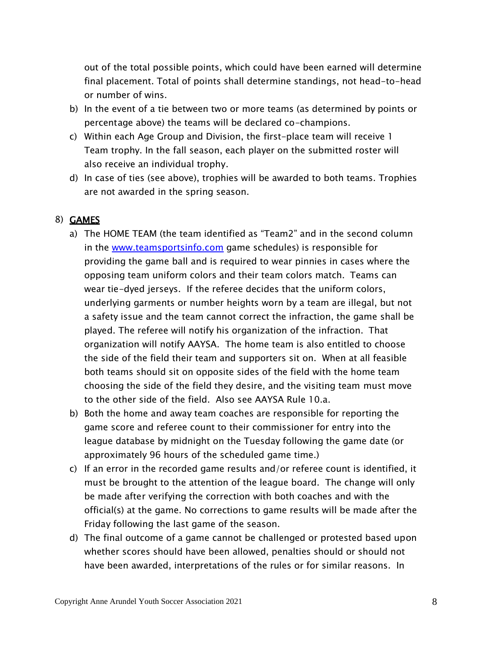out of the total possible points, which could have been earned will determine final placement. Total of points shall determine standings, not head-to-head or number of wins.

- b) In the event of a tie between two or more teams (as determined by points or percentage above) the teams will be declared co-champions.
- c) Within each Age Group and Division, the first-place team will receive 1 Team trophy. In the fall season, each player on the submitted roster will also receive an individual trophy.
- d) In case of ties (see above), trophies will be awarded to both teams. Trophies are not awarded in the spring season.

### 8) GAMES

- a) The HOME TEAM (the team identified as "Team2" and in the second column in the [www.teamsportsinfo.com](http://www.teamsportsinfo.com/) game schedules) is responsible for providing the game ball and is required to wear pinnies in cases where the opposing team uniform colors and their team colors match. Teams can wear tie-dyed jerseys. If the referee decides that the uniform colors, underlying garments or number heights worn by a team are illegal, but not a safety issue and the team cannot correct the infraction, the game shall be played. The referee will notify his organization of the infraction. That organization will notify AAYSA. The home team is also entitled to choose the side of the field their team and supporters sit on. When at all feasible both teams should sit on opposite sides of the field with the home team choosing the side of the field they desire, and the visiting team must move to the other side of the field. Also see AAYSA Rule 10.a.
- b) Both the home and away team coaches are responsible for reporting the game score and referee count to their commissioner for entry into the league database by midnight on the Tuesday following the game date (or approximately 96 hours of the scheduled game time.)
- c) If an error in the recorded game results and/or referee count is identified, it must be brought to the attention of the league board. The change will only be made after verifying the correction with both coaches and with the official(s) at the game. No corrections to game results will be made after the Friday following the last game of the season.
- d) The final outcome of a game cannot be challenged or protested based upon whether scores should have been allowed, penalties should or should not have been awarded, interpretations of the rules or for similar reasons. In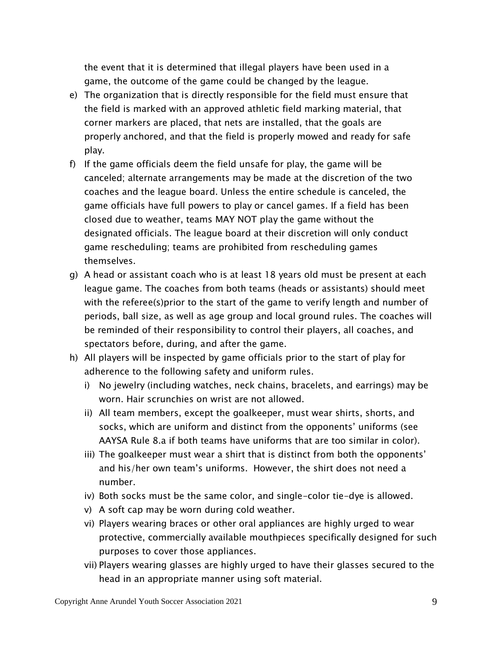the event that it is determined that illegal players have been used in a game, the outcome of the game could be changed by the league.

- e) The organization that is directly responsible for the field must ensure that the field is marked with an approved athletic field marking material, that corner markers are placed, that nets are installed, that the goals are properly anchored, and that the field is properly mowed and ready for safe play.
- f) If the game officials deem the field unsafe for play, the game will be canceled; alternate arrangements may be made at the discretion of the two coaches and the league board. Unless the entire schedule is canceled, the game officials have full powers to play or cancel games. If a field has been closed due to weather, teams MAY NOT play the game without the designated officials. The league board at their discretion will only conduct game rescheduling; teams are prohibited from rescheduling games themselves.
- g) A head or assistant coach who is at least 18 years old must be present at each league game. The coaches from both teams (heads or assistants) should meet with the referee(s)prior to the start of the game to verify length and number of periods, ball size, as well as age group and local ground rules. The coaches will be reminded of their responsibility to control their players, all coaches, and spectators before, during, and after the game.
- h) All players will be inspected by game officials prior to the start of play for adherence to the following safety and uniform rules.
	- i) No jewelry (including watches, neck chains, bracelets, and earrings) may be worn. Hair scrunchies on wrist are not allowed.
	- ii) All team members, except the goalkeeper, must wear shirts, shorts, and socks, which are uniform and distinct from the opponents' uniforms (see AAYSA Rule 8.a if both teams have uniforms that are too similar in color).
	- iii) The goalkeeper must wear a shirt that is distinct from both the opponents' and his/her own team's uniforms. However, the shirt does not need a number.
	- iv) Both socks must be the same color, and single-color tie-dye is allowed.
	- v) A soft cap may be worn during cold weather.
	- vi) Players wearing braces or other oral appliances are highly urged to wear protective, commercially available mouthpieces specifically designed for such purposes to cover those appliances.
	- vii) Players wearing glasses are highly urged to have their glasses secured to the head in an appropriate manner using soft material.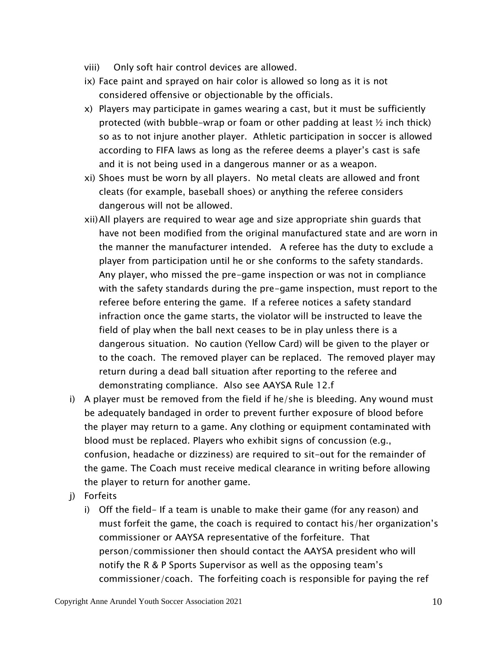- viii) Only soft hair control devices are allowed.
- ix) Face paint and sprayed on hair color is allowed so long as it is not considered offensive or objectionable by the officials.
- x) Players may participate in games wearing a cast, but it must be sufficiently protected (with bubble-wrap or foam or other padding at least  $\frac{1}{2}$  inch thick) so as to not injure another player. Athletic participation in soccer is allowed according to FIFA laws as long as the referee deems a player's cast is safe and it is not being used in a dangerous manner or as a weapon.
- xi) Shoes must be worn by all players. No metal cleats are allowed and front cleats (for example, baseball shoes) or anything the referee considers dangerous will not be allowed.
- xii)All players are required to wear age and size appropriate shin guards that have not been modified from the original manufactured state and are worn in the manner the manufacturer intended. A referee has the duty to exclude a player from participation until he or she conforms to the safety standards. Any player, who missed the pre-game inspection or was not in compliance with the safety standards during the pre-game inspection, must report to the referee before entering the game. If a referee notices a safety standard infraction once the game starts, the violator will be instructed to leave the field of play when the ball next ceases to be in play unless there is a dangerous situation. No caution (Yellow Card) will be given to the player or to the coach. The removed player can be replaced. The removed player may return during a dead ball situation after reporting to the referee and demonstrating compliance. Also see AAYSA Rule 12.f
- i) A player must be removed from the field if he/she is bleeding. Any wound must be adequately bandaged in order to prevent further exposure of blood before the player may return to a game. Any clothing or equipment contaminated with blood must be replaced. Players who exhibit signs of concussion (e.g., confusion, headache or dizziness) are required to sit-out for the remainder of the game. The Coach must receive medical clearance in writing before allowing the player to return for another game.
- j) Forfeits
	- i) Off the field- If a team is unable to make their game (for any reason) and must forfeit the game, the coach is required to contact his/her organization's commissioner or AAYSA representative of the forfeiture. That person/commissioner then should contact the AAYSA president who will notify the R & P Sports Supervisor as well as the opposing team's commissioner/coach. The forfeiting coach is responsible for paying the ref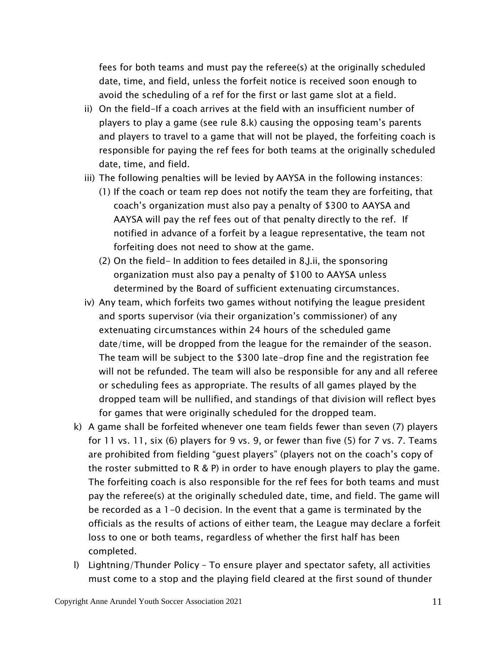fees for both teams and must pay the referee(s) at the originally scheduled date, time, and field, unless the forfeit notice is received soon enough to avoid the scheduling of a ref for the first or last game slot at a field.

- ii) On the field-If a coach arrives at the field with an insufficient number of players to play a game (see rule 8.k) causing the opposing team's parents and players to travel to a game that will not be played, the forfeiting coach is responsible for paying the ref fees for both teams at the originally scheduled date, time, and field.
- iii) The following penalties will be levied by AAYSA in the following instances:
	- (1) If the coach or team rep does not notify the team they are forfeiting, that coach's organization must also pay a penalty of \$300 to AAYSA and AAYSA will pay the ref fees out of that penalty directly to the ref. If notified in advance of a forfeit by a league representative, the team not forfeiting does not need to show at the game.
	- (2) On the field- In addition to fees detailed in 8.J.ii, the sponsoring organization must also pay a penalty of \$100 to AAYSA unless determined by the Board of sufficient extenuating circumstances.
- iv) Any team, which forfeits two games without notifying the league president and sports supervisor (via their organization's commissioner) of any extenuating circumstances within 24 hours of the scheduled game date/time, will be dropped from the league for the remainder of the season. The team will be subject to the \$300 late-drop fine and the registration fee will not be refunded. The team will also be responsible for any and all referee or scheduling fees as appropriate. The results of all games played by the dropped team will be nullified, and standings of that division will reflect byes for games that were originally scheduled for the dropped team.
- k) A game shall be forfeited whenever one team fields fewer than seven (7) players for 11 vs. 11, six (6) players for 9 vs. 9, or fewer than five (5) for 7 vs. 7. Teams are prohibited from fielding "guest players" (players not on the coach's copy of the roster submitted to R & P) in order to have enough players to play the game. The forfeiting coach is also responsible for the ref fees for both teams and must pay the referee(s) at the originally scheduled date, time, and field. The game will be recorded as a 1-0 decision. In the event that a game is terminated by the officials as the results of actions of either team, the League may declare a forfeit loss to one or both teams, regardless of whether the first half has been completed.
- l) Lightning/Thunder Policy To ensure player and spectator safety, all activities must come to a stop and the playing field cleared at the first sound of thunder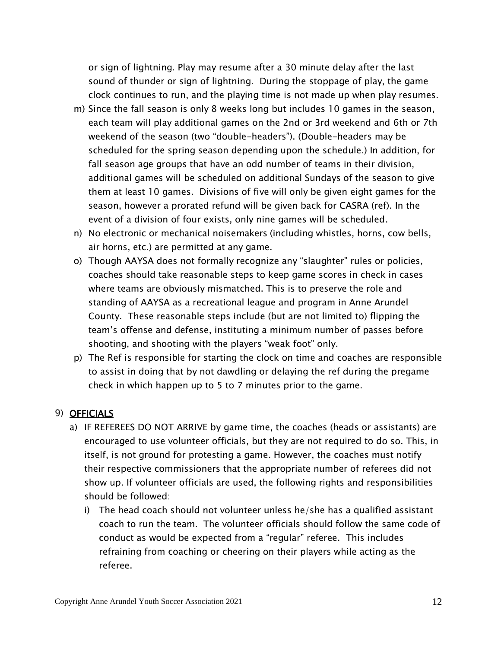or sign of lightning. Play may resume after a 30 minute delay after the last sound of thunder or sign of lightning. During the stoppage of play, the game clock continues to run, and the playing time is not made up when play resumes.

- m) Since the fall season is only 8 weeks long but includes 10 games in the season, each team will play additional games on the 2nd or 3rd weekend and 6th or 7th weekend of the season (two "double-headers"). (Double-headers may be scheduled for the spring season depending upon the schedule.) In addition, for fall season age groups that have an odd number of teams in their division, additional games will be scheduled on additional Sundays of the season to give them at least 10 games. Divisions of five will only be given eight games for the season, however a prorated refund will be given back for CASRA (ref). In the event of a division of four exists, only nine games will be scheduled.
- n) No electronic or mechanical noisemakers (including whistles, horns, cow bells, air horns, etc.) are permitted at any game.
- o) Though AAYSA does not formally recognize any "slaughter" rules or policies, coaches should take reasonable steps to keep game scores in check in cases where teams are obviously mismatched. This is to preserve the role and standing of AAYSA as a recreational league and program in Anne Arundel County. These reasonable steps include (but are not limited to) flipping the team's offense and defense, instituting a minimum number of passes before shooting, and shooting with the players "weak foot" only.
- p) The Ref is responsible for starting the clock on time and coaches are responsible to assist in doing that by not dawdling or delaying the ref during the pregame check in which happen up to 5 to 7 minutes prior to the game.

## 9) OFFICIALS

- a) IF REFEREES DO NOT ARRIVE by game time, the coaches (heads or assistants) are encouraged to use volunteer officials, but they are not required to do so. This, in itself, is not ground for protesting a game. However, the coaches must notify their respective commissioners that the appropriate number of referees did not show up. If volunteer officials are used, the following rights and responsibilities should be followed:
	- i) The head coach should not volunteer unless he/she has a qualified assistant coach to run the team. The volunteer officials should follow the same code of conduct as would be expected from a "regular" referee. This includes refraining from coaching or cheering on their players while acting as the referee.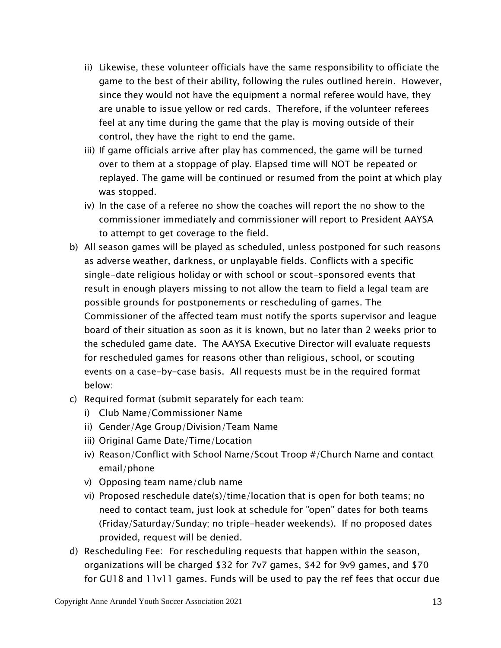- ii) Likewise, these volunteer officials have the same responsibility to officiate the game to the best of their ability, following the rules outlined herein. However, since they would not have the equipment a normal referee would have, they are unable to issue yellow or red cards. Therefore, if the volunteer referees feel at any time during the game that the play is moving outside of their control, they have the right to end the game.
- iii) If game officials arrive after play has commenced, the game will be turned over to them at a stoppage of play. Elapsed time will NOT be repeated or replayed. The game will be continued or resumed from the point at which play was stopped.
- iv) In the case of a referee no show the coaches will report the no show to the commissioner immediately and commissioner will report to President AAYSA to attempt to get coverage to the field.
- b) All season games will be played as scheduled, unless postponed for such reasons as adverse weather, darkness, or unplayable fields. Conflicts with a specific single-date religious holiday or with school or scout-sponsored events that result in enough players missing to not allow the team to field a legal team are possible grounds for postponements or rescheduling of games. The Commissioner of the affected team must notify the sports supervisor and league board of their situation as soon as it is known, but no later than 2 weeks prior to the scheduled game date. The AAYSA Executive Director will evaluate requests for rescheduled games for reasons other than religious, school, or scouting events on a case-by-case basis. All requests must be in the required format below:
- c) Required format (submit separately for each team:
	- i) Club Name/Commissioner Name
	- ii) Gender/Age Group/Division/Team Name
	- iii) Original Game Date/Time/Location
	- iv) Reason/Conflict with School Name/Scout Troop #/Church Name and contact email/phone
	- v) Opposing team name/club name
	- vi) Proposed reschedule date(s)/time/location that is open for both teams; no need to contact team, just look at schedule for "open" dates for both teams (Friday/Saturday/Sunday; no triple-header weekends). If no proposed dates provided, request will be denied.
- d) Rescheduling Fee: For rescheduling requests that happen within the season, organizations will be charged \$32 for 7v7 games, \$42 for 9v9 games, and \$70 for GU18 and 11v11 games. Funds will be used to pay the ref fees that occur due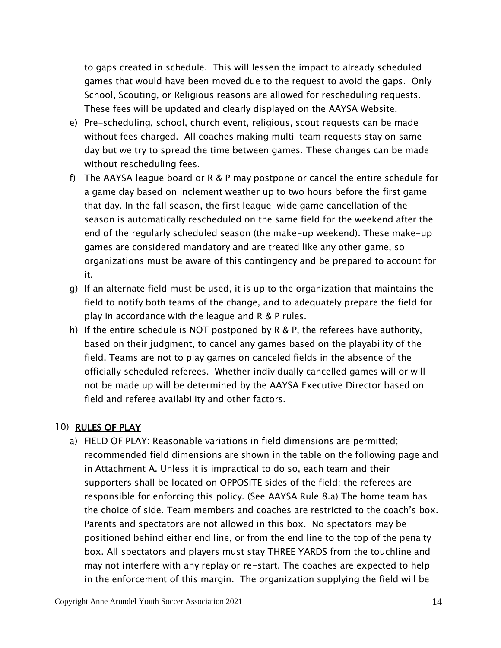to gaps created in schedule. This will lessen the impact to already scheduled games that would have been moved due to the request to avoid the gaps. Only School, Scouting, or Religious reasons are allowed for rescheduling requests. These fees will be updated and clearly displayed on the AAYSA Website.

- e) Pre-scheduling, school, church event, religious, scout requests can be made without fees charged. All coaches making multi-team requests stay on same day but we try to spread the time between games. These changes can be made without rescheduling fees.
- f) The AAYSA league board or R & P may postpone or cancel the entire schedule for a game day based on inclement weather up to two hours before the first game that day. In the fall season, the first league-wide game cancellation of the season is automatically rescheduled on the same field for the weekend after the end of the regularly scheduled season (the make-up weekend). These make-up games are considered mandatory and are treated like any other game, so organizations must be aware of this contingency and be prepared to account for it.
- g) If an alternate field must be used, it is up to the organization that maintains the field to notify both teams of the change, and to adequately prepare the field for play in accordance with the league and R & P rules.
- h) If the entire schedule is NOT postponed by R & P, the referees have authority, based on their judgment, to cancel any games based on the playability of the field. Teams are not to play games on canceled fields in the absence of the officially scheduled referees. Whether individually cancelled games will or will not be made up will be determined by the AAYSA Executive Director based on field and referee availability and other factors.

#### 10) RULES OF PLAY

a) FIELD OF PLAY: Reasonable variations in field dimensions are permitted; recommended field dimensions are shown in the table on the following page and in Attachment A. Unless it is impractical to do so, each team and their supporters shall be located on OPPOSITE sides of the field; the referees are responsible for enforcing this policy. (See AAYSA Rule 8.a) The home team has the choice of side. Team members and coaches are restricted to the coach's box. Parents and spectators are not allowed in this box. No spectators may be positioned behind either end line, or from the end line to the top of the penalty box. All spectators and players must stay THREE YARDS from the touchline and may not interfere with any replay or re-start. The coaches are expected to help in the enforcement of this margin. The organization supplying the field will be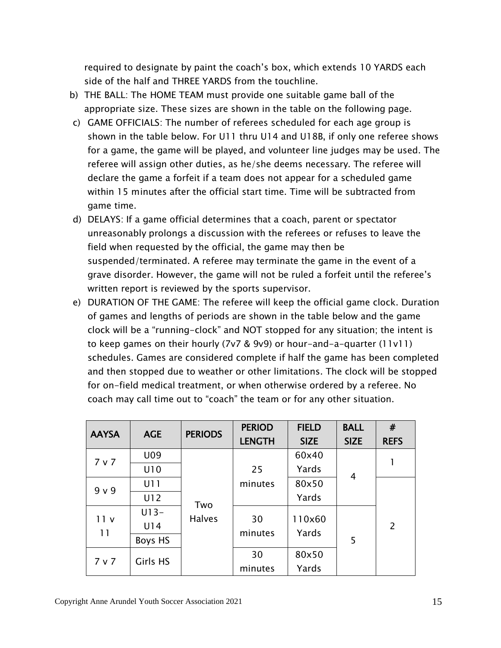required to designate by paint the coach's box, which extends 10 YARDS each side of the half and THREE YARDS from the touchline.

- b) THE BALL: The HOME TEAM must provide one suitable game ball of the appropriate size. These sizes are shown in the table on the following page.
- c) GAME OFFICIALS: The number of referees scheduled for each age group is shown in the table below. For U11 thru U14 and U18B, if only one referee shows for a game, the game will be played, and volunteer line judges may be used. The referee will assign other duties, as he/she deems necessary. The referee will declare the game a forfeit if a team does not appear for a scheduled game within 15 minutes after the official start time. Time will be subtracted from game time.
- d) DELAYS: If a game official determines that a coach, parent or spectator unreasonably prolongs a discussion with the referees or refuses to leave the field when requested by the official, the game may then be suspended/terminated. A referee may terminate the game in the event of a grave disorder. However, the game will not be ruled a forfeit until the referee's written report is reviewed by the sports supervisor.
- e) DURATION OF THE GAME: The referee will keep the official game clock. Duration of games and lengths of periods are shown in the table below and the game clock will be a "running-clock" and NOT stopped for any situation; the intent is to keep games on their hourly (7v7 & 9v9) or hour-and-a-quarter (11v11) schedules. Games are considered complete if half the game has been completed and then stopped due to weather or other limitations. The clock will be stopped for on-field medical treatment, or when otherwise ordered by a referee. No coach may call time out to "coach" the team or for any other situation.

| <b>AAYSA</b> | <b>AGE</b> | <b>PERIODS</b> | <b>PERIOD</b> | <b>FIELD</b> | <b>BALL</b> | #              |
|--------------|------------|----------------|---------------|--------------|-------------|----------------|
|              |            |                | <b>LENGTH</b> | <b>SIZE</b>  | <b>SIZE</b> | <b>REFS</b>    |
| 7 v 7        | U09        |                |               | 60x40        |             |                |
|              | U10        |                | 25            | Yards        | 4           |                |
| 9 v 9        | U11        |                | minutes       | 80x50        |             |                |
|              | U12        | Two            |               | Yards        |             |                |
| 11v          | $U13-$     | <b>Halves</b>  | 30            | 110×60       |             |                |
| 11           | U14        |                |               | Yards        |             | $\overline{2}$ |
|              | Boys HS    |                | minutes       |              | 5           |                |
| 7 v 7        | Girls HS   |                | 30            | 80x50        |             |                |
|              |            |                | minutes       | Yards        |             |                |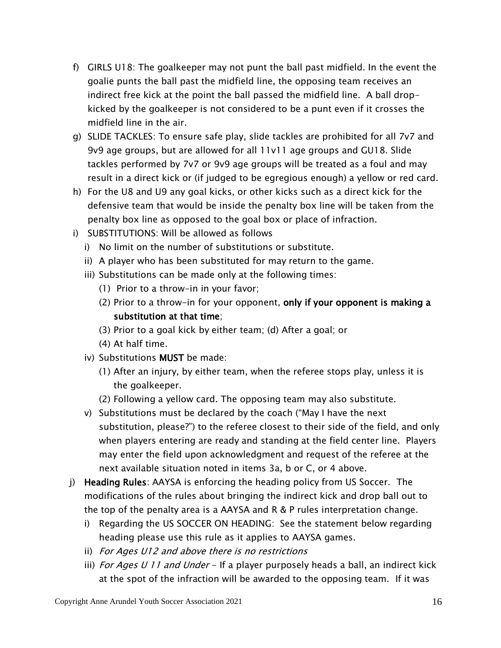- f) GIRLS U18: The goalkeeper may not punt the ball past midfield. In the event the goalie punts the ball past the midfield line, the opposing team receives an indirect free kick at the point the ball passed the midfield line. A ball dropkicked by the goalkeeper is not considered to be a punt even if it crosses the midfield line in the air.
- g) SLIDE TACKLES: To ensure safe play, slide tackles are prohibited for all 7v7 and 9v9 age groups, but are allowed for all 11v11 age groups and GU18. Slide tackles performed by 7v7 or 9v9 age groups will be treated as a foul and may result in a direct kick or (if judged to be egregious enough) a yellow or red card.
- h) For the U8 and U9 any goal kicks, or other kicks such as a direct kick for the defensive team that would be inside the penalty box line will be taken from the penalty box line as opposed to the goal box or place of infraction.
- i) SUBSTITUTIONS: Will be allowed as follows
	- i) No limit on the number of substitutions or substitute.
	- ii) A player who has been substituted for may return to the game.
	- iii) Substitutions can be made only at the following times:
		- (1) Prior to a throw-in in your favor;
		- (2) Prior to a throw-in for your opponent, only if your opponent is making a substitution at that time;
		- (3) Prior to a goal kick by either team; (d) After a goal; or
		- (4) At half time.
	- iv) Substitutions MUST be made:
		- (1) After an injury, by either team, when the referee stops play, unless it is the goalkeeper.
		- (2) Following a yellow card. The opposing team may also substitute.
	- v) Substitutions must be declared by the coach ("May I have the next substitution, please?") to the referee closest to their side of the field, and only when players entering are ready and standing at the field center line. Players may enter the field upon acknowledgment and request of the referee at the next available situation noted in items 3a, b or C, or 4 above.
- j) Heading Rules: AAYSA is enforcing the heading policy from US Soccer. The modifications of the rules about bringing the indirect kick and drop ball out to the top of the penalty area is a AAYSA and R & P rules interpretation change.
	- i) Regarding the US SOCCER ON HEADING: See the statement below regarding heading please use this rule as it applies to AAYSA games.
	- ii) For Ages U12 and above there is no restrictions
	- iii) For Ages U 11 and Under If a player purposely heads a ball, an indirect kick at the spot of the infraction will be awarded to the opposing team. If it was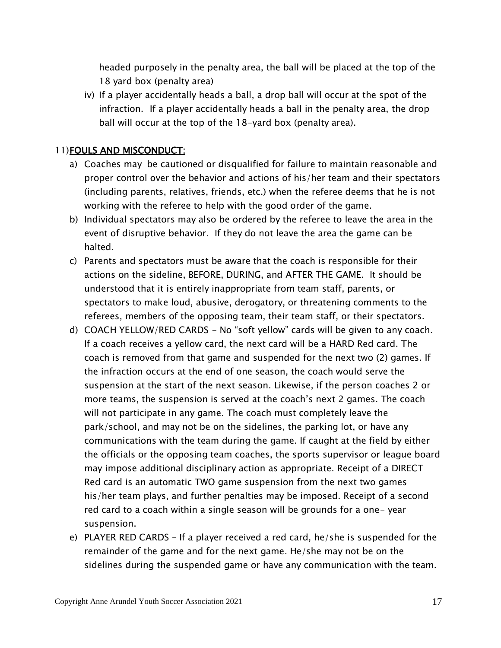headed purposely in the penalty area, the ball will be placed at the top of the 18 yard box (penalty area)

iv) If a player accidentally heads a ball, a drop ball will occur at the spot of the infraction. If a player accidentally heads a ball in the penalty area, the drop ball will occur at the top of the 18-yard box (penalty area).

#### 11)FOULS AND MISCONDUCT:

- a) Coaches may be cautioned or disqualified for failure to maintain reasonable and proper control over the behavior and actions of his/her team and their spectators (including parents, relatives, friends, etc.) when the referee deems that he is not working with the referee to help with the good order of the game.
- b) Individual spectators may also be ordered by the referee to leave the area in the event of disruptive behavior. If they do not leave the area the game can be halted.
- c) Parents and spectators must be aware that the coach is responsible for their actions on the sideline, BEFORE, DURING, and AFTER THE GAME. It should be understood that it is entirely inappropriate from team staff, parents, or spectators to make loud, abusive, derogatory, or threatening comments to the referees, members of the opposing team, their team staff, or their spectators.
- d) COACH YELLOW/RED CARDS No "soft yellow" cards will be given to any coach. If a coach receives a yellow card, the next card will be a HARD Red card. The coach is removed from that game and suspended for the next two (2) games. If the infraction occurs at the end of one season, the coach would serve the suspension at the start of the next season. Likewise, if the person coaches 2 or more teams, the suspension is served at the coach's next 2 games. The coach will not participate in any game. The coach must completely leave the park/school, and may not be on the sidelines, the parking lot, or have any communications with the team during the game. If caught at the field by either the officials or the opposing team coaches, the sports supervisor or league board may impose additional disciplinary action as appropriate. Receipt of a DIRECT Red card is an automatic TWO game suspension from the next two games his/her team plays, and further penalties may be imposed. Receipt of a second red card to a coach within a single season will be grounds for a one- year suspension.
- e) PLAYER RED CARDS If a player received a red card, he/she is suspended for the remainder of the game and for the next game. He/she may not be on the sidelines during the suspended game or have any communication with the team.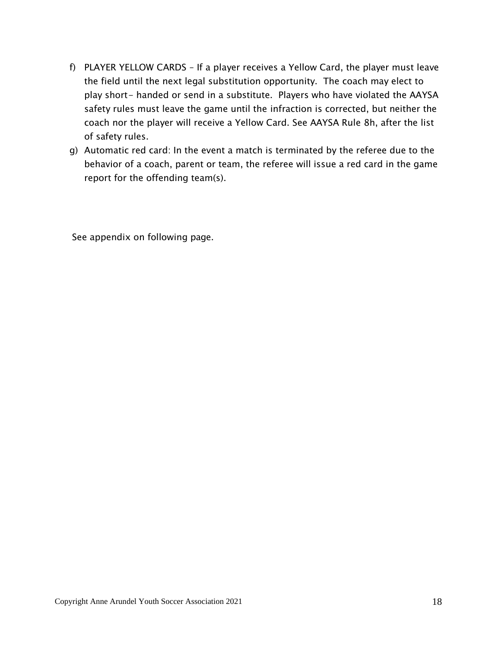- f) PLAYER YELLOW CARDS If a player receives a Yellow Card, the player must leave the field until the next legal substitution opportunity. The coach may elect to play short- handed or send in a substitute. Players who have violated the AAYSA safety rules must leave the game until the infraction is corrected, but neither the coach nor the player will receive a Yellow Card. See AAYSA Rule 8h, after the list of safety rules.
- g) Automatic red card: In the event a match is terminated by the referee due to the behavior of a coach, parent or team, the referee will issue a red card in the game report for the offending team(s).

See appendix on following page.